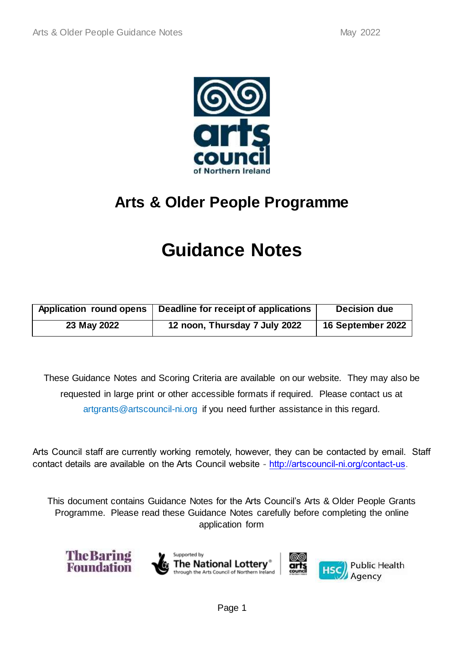

# **Arts & Older People Programme**

# **Guidance Notes**

| Application round opens | Deadline for receipt of applications | Decision due      |
|-------------------------|--------------------------------------|-------------------|
| 23 May 2022             | 12 noon, Thursday 7 July 2022        | 16 September 2022 |

These Guidance Notes and Scoring Criteria are available on our website. They may also be requested in large print or other accessible formats if required. Please contact us at artgrants@artscouncil-ni.org if you need further assistance in this regard.

Arts Council staff are currently working remotely, however, they can be contacted by email. Staff contact details are available on the Arts Council website - [http://artscouncil-ni.org/contact-us.](http://artscouncil-ni.org/contact-us)

This document contains Guidance Notes for the Arts Council's Arts & Older People Grants Programme. Please read these Guidance Notes carefully before completing the online application form

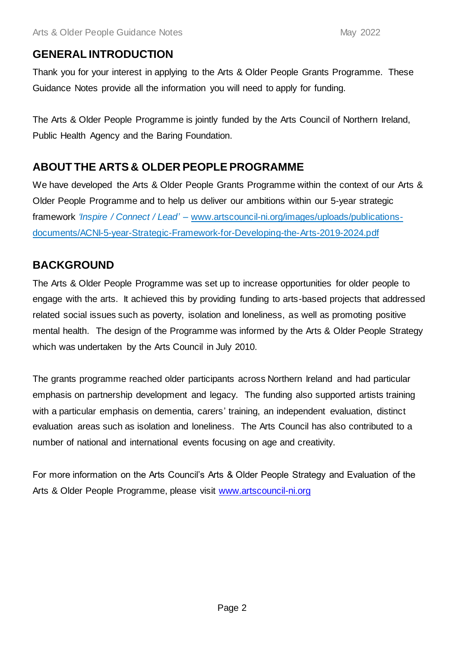# **GENERAL INTRODUCTION**

Thank you for your interest in applying to the Arts & Older People Grants Programme. These Guidance Notes provide all the information you will need to apply for funding.

The Arts & Older People Programme is jointly funded by the Arts Council of Northern Ireland, Public Health Agency and the Baring Foundation.

# **ABOUT THE ARTS & OLDER PEOPLE PROGRAMME**

We have developed the Arts & Older People Grants Programme within the context of our Arts & Older People Programme and to help us deliver our ambitions within our 5-year strategic framework *'Inspire / Connect / Lead'* – [www.artscouncil-ni.org/images/uploads/publications](http://www.artscouncil-ni.org/images/uploads/publications-documents/ACNI-5-year-Strategic-Framework-for-Developing-the-Arts-2019-2024.pdf)[documents/ACNI-5-year-Strategic-Framework-for-Developing-the-Arts-2019-2024.pdf](http://www.artscouncil-ni.org/images/uploads/publications-documents/ACNI-5-year-Strategic-Framework-for-Developing-the-Arts-2019-2024.pdf)

# **BACKGROUND**

The Arts & Older People Programme was set up to increase opportunities for older people to engage with the arts. It achieved this by providing funding to arts-based projects that addressed related social issues such as poverty, isolation and loneliness, as well as promoting positive mental health. The design of the Programme was informed by the Arts & Older People Strategy which was undertaken by the Arts Council in July 2010.

The grants programme reached older participants across Northern Ireland and had particular emphasis on partnership development and legacy. The funding also supported artists training with a particular emphasis on dementia, carers' training, an independent evaluation, distinct evaluation areas such as isolation and loneliness. The Arts Council has also contributed to a number of national and international events focusing on age and creativity.

For more information on the Arts Council's Arts & Older People Strategy and Evaluation of the Arts & Older People Programme, please visit [www.artscouncil-ni.org](http://www.artscouncil-ni.org/)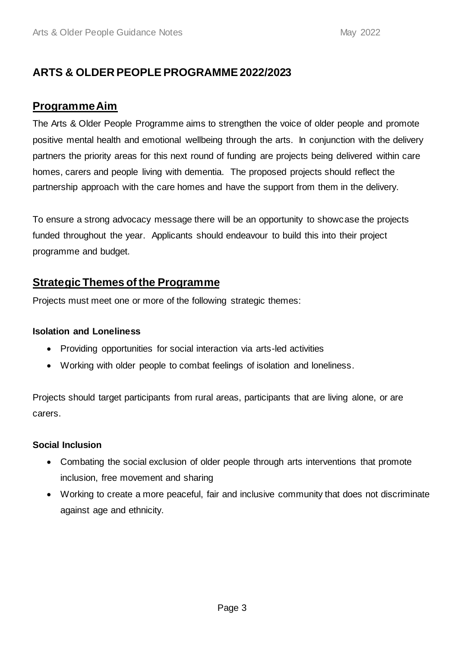# **ARTS & OLDER PEOPLE PROGRAMME 2022/2023**

## **Programme Aim**

The Arts & Older People Programme aims to strengthen the voice of older people and promote positive mental health and emotional wellbeing through the arts. In conjunction with the delivery partners the priority areas for this next round of funding are projects being delivered within care homes, carers and people living with dementia. The proposed projects should reflect the partnership approach with the care homes and have the support from them in the delivery.

To ensure a strong advocacy message there will be an opportunity to showcase the projects funded throughout the year. Applicants should endeavour to build this into their project programme and budget.

# **Strategic Themes of the Programme**

Projects must meet one or more of the following strategic themes:

## **Isolation and Loneliness**

- Providing opportunities for social interaction via arts-led activities
- Working with older people to combat feelings of isolation and loneliness.

Projects should target participants from rural areas, participants that are living alone, or are carers.

## **Social Inclusion**

- Combating the social exclusion of older people through arts interventions that promote inclusion, free movement and sharing
- Working to create a more peaceful, fair and inclusive community that does not discriminate against age and ethnicity.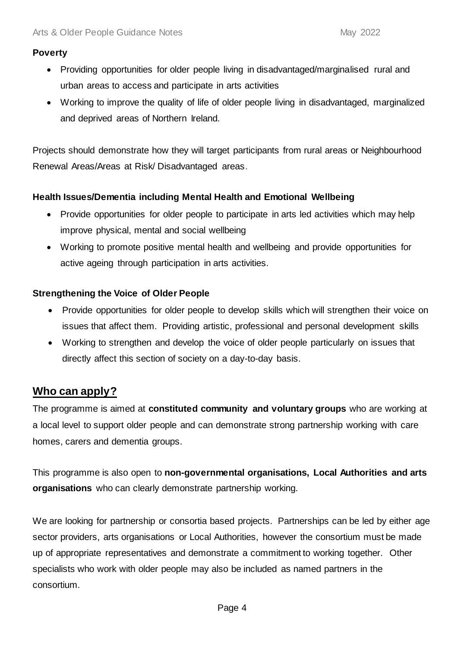### **Poverty**

- Providing opportunities for older people living in disadvantaged/marginalised rural and urban areas to access and participate in arts activities
- Working to improve the quality of life of older people living in disadvantaged, marginalized and deprived areas of Northern Ireland.

Projects should demonstrate how they will target participants from rural areas or Neighbourhood Renewal Areas/Areas at Risk/ Disadvantaged areas.

## **Health Issues/Dementia including Mental Health and Emotional Wellbeing**

- Provide opportunities for older people to participate in arts led activities which may help improve physical, mental and social wellbeing
- Working to promote positive mental health and wellbeing and provide opportunities for active ageing through participation in arts activities.

## **Strengthening the Voice of Older People**

- Provide opportunities for older people to develop skills which will strengthen their voice on issues that affect them. Providing artistic, professional and personal development skills
- Working to strengthen and develop the voice of older people particularly on issues that directly affect this section of society on a day-to-day basis.

# **Who can apply?**

The programme is aimed at **constituted community and voluntary groups** who are working at a local level to support older people and can demonstrate strong partnership working with care homes, carers and dementia groups.

This programme is also open to **non-governmental organisations, Local Authorities and arts organisations** who can clearly demonstrate partnership working.

We are looking for partnership or consortia based projects. Partnerships can be led by either age sector providers, arts organisations or Local Authorities, however the consortium must be made up of appropriate representatives and demonstrate a commitment to working together. Other specialists who work with older people may also be included as named partners in the consortium.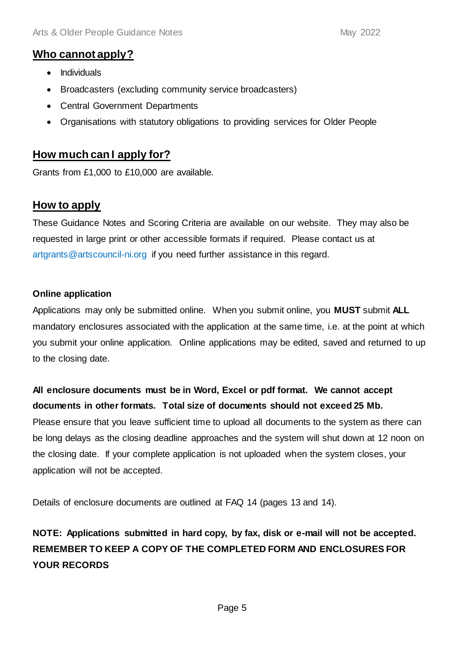## **Who cannot apply?**

- Individuals
- Broadcasters (excluding community service broadcasters)
- Central Government Departments
- Organisations with statutory obligations to providing services for Older People

# **How much can I apply for?**

Grants from £1,000 to £10,000 are available.

# **How to apply**

These Guidance Notes and Scoring Criteria are available on our website. They may also be requested in large print or other accessible formats if required. Please contact us at artgrants@artscouncil-ni.org if you need further assistance in this regard.

### **Online application**

Applications may only be submitted online. When you submit online, you **MUST** submit **ALL** mandatory enclosures associated with the application at the same time, i.e. at the point at which you submit your online application. Online applications may be edited, saved and returned to up to the closing date.

# **All enclosure documents must be in Word, Excel or pdf format. We cannot accept documents in other formats. Total size of documents should not exceed 25 Mb.**

Please ensure that you leave sufficient time to upload all documents to the system as there can be long delays as the closing deadline approaches and the system will shut down at 12 noon on the closing date. If your complete application is not uploaded when the system closes, your application will not be accepted.

Details of enclosure documents are outlined at FAQ 14 (pages 13 and 14).

# **NOTE: Applications submitted in hard copy, by fax, disk or e-mail will not be accepted. REMEMBER TO KEEP A COPY OF THE COMPLETED FORM AND ENCLOSURES FOR YOUR RECORDS**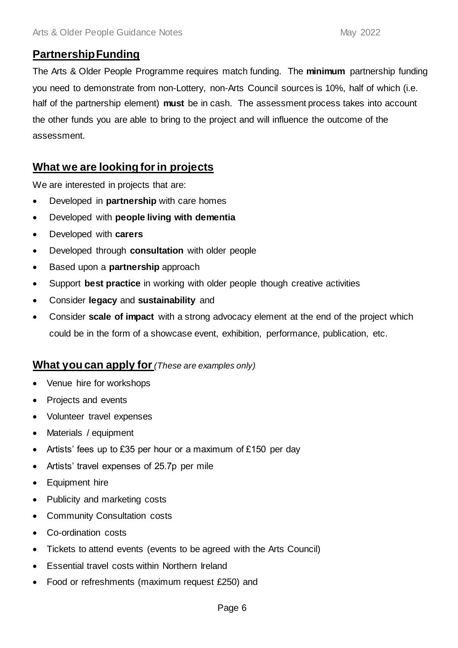## **Partnership Funding**

The Arts & Older People Programme requires match funding. The **minimum** partnership funding you need to demonstrate from non-Lottery, non-Arts Council sources is 10%, half of which (i.e. half of the partnership element) **must** be in cash. The assessment process takes into account the other funds you are able to bring to the project and will influence the outcome of the assessment.

# **What we are looking for in projects**

We are interested in projects that are:

- Developed in **partnership** with care homes
- Developed with **people living with dementia**
- Developed with **carers**
- Developed through **consultation** with older people
- Based upon a **partnership** approach
- Support **best practice** in working with older people though creative activities
- Consider **legacy** and **sustainability** and
- Consider **scale of impact** with a strong advocacy element at the end of the project which could be in the form of a showcase event, exhibition, performance, publication, etc.

## **What you can apply for** *(These are examples only)*

- Venue hire for workshops
- Projects and events
- Volunteer travel expenses
- Materials / equipment
- Artists' fees up to £35 per hour or a maximum of  $£150$  per day
- Artists' travel expenses of 25.7p per mile
- Equipment hire
- Publicity and marketing costs
- Community Consultation costs
- Co-ordination costs
- Tickets to attend events (events to be agreed with the Arts Council)
- Essential travel costs within Northern Ireland
- Food or refreshments (maximum request £250) and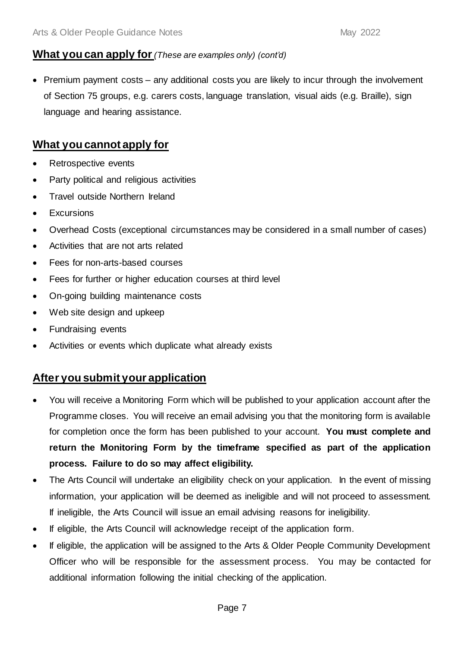## **What you can apply for** *(These are examples only) (cont'd)*

• Premium payment costs – any additional costs you are likely to incur through the involvement of Section 75 groups, e.g. carers costs, language translation, visual aids (e.g. Braille), sign language and hearing assistance.

# **What you cannot apply for**

- Retrospective events
- Party political and religious activities
- Travel outside Northern Ireland
- Excursions
- Overhead Costs (exceptional circumstances may be considered in a small number of cases)
- Activities that are not arts related
- Fees for non-arts-based courses
- Fees for further or higher education courses at third level
- On-going building maintenance costs
- Web site design and upkeep
- Fundraising events
- Activities or events which duplicate what already exists

# **After you submit your application**

- You will receive a Monitoring Form which will be published to your application account after the Programme closes. You will receive an email advising you that the monitoring form is available for completion once the form has been published to your account. **You must complete and return the Monitoring Form by the timeframe specified as part of the application process. Failure to do so may affect eligibility.**
- The Arts Council will undertake an eligibility check on your application. In the event of missing information, your application will be deemed as ineligible and will not proceed to assessment. If ineligible, the Arts Council will issue an email advising reasons for ineligibility.
- If eligible, the Arts Council will acknowledge receipt of the application form.
- If eligible, the application will be assigned to the Arts & Older People Community Development Officer who will be responsible for the assessment process. You may be contacted for additional information following the initial checking of the application.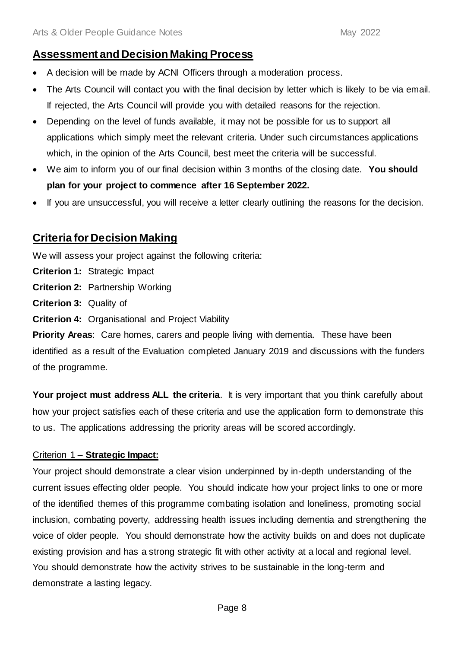# **Assessment and Decision Making Process**

- A decision will be made by ACNI Officers through a moderation process.
- The Arts Council will contact you with the final decision by letter which is likely to be via email. If rejected, the Arts Council will provide you with detailed reasons for the rejection.
- Depending on the level of funds available, it may not be possible for us to support all applications which simply meet the relevant criteria. Under such circumstances applications which, in the opinion of the Arts Council, best meet the criteria will be successful.
- We aim to inform you of our final decision within 3 months of the closing date. **You should plan for your project to commence after 16 September 2022.**
- If you are unsuccessful, you will receive a letter clearly outlining the reasons for the decision.

# **Criteria for Decision Making**

We will assess your project against the following criteria:

**Criterion 1:** Strategic Impact

- **Criterion 2:** Partnership Working
- **Criterion 3:** Quality of

**Criterion 4:** Organisational and Project Viability

**Priority Areas**: Care homes, carers and people living with dementia. These have been identified as a result of the Evaluation completed January 2019 and discussions with the funders of the programme.

Your project must address ALL the criteria. It is very important that you think carefully about how your project satisfies each of these criteria and use the application form to demonstrate this to us. The applications addressing the priority areas will be scored accordingly.

## Criterion 1 – **Strategic Impact:**

Your project should demonstrate a clear vision underpinned by in-depth understanding of the current issues effecting older people. You should indicate how your project links to one or more of the identified themes of this programme combating isolation and loneliness, promoting social inclusion, combating poverty, addressing health issues including dementia and strengthening the voice of older people. You should demonstrate how the activity builds on and does not duplicate existing provision and has a strong strategic fit with other activity at a local and regional level. You should demonstrate how the activity strives to be sustainable in the long-term and demonstrate a lasting legacy.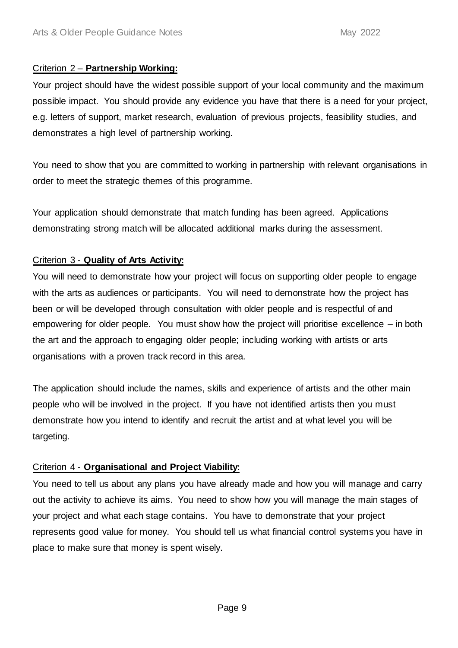### Criterion 2 – **Partnership Working:**

Your project should have the widest possible support of your local community and the maximum possible impact. You should provide any evidence you have that there is a need for your project, e.g. letters of support, market research, evaluation of previous projects, feasibility studies, and demonstrates a high level of partnership working.

You need to show that you are committed to working in partnership with relevant organisations in order to meet the strategic themes of this programme.

Your application should demonstrate that match funding has been agreed. Applications demonstrating strong match will be allocated additional marks during the assessment.

## Criterion 3 - **Quality of Arts Activity:**

You will need to demonstrate how your project will focus on supporting older people to engage with the arts as audiences or participants. You will need to demonstrate how the project has been or will be developed through consultation with older people and is respectful of and empowering for older people. You must show how the project will prioritise excellence – in both the art and the approach to engaging older people; including working with artists or arts organisations with a proven track record in this area.

The application should include the names, skills and experience of artists and the other main people who will be involved in the project. If you have not identified artists then you must demonstrate how you intend to identify and recruit the artist and at what level you will be targeting.

## Criterion 4 - **Organisational and Project Viability:**

You need to tell us about any plans you have already made and how you will manage and carry out the activity to achieve its aims. You need to show how you will manage the main stages of your project and what each stage contains. You have to demonstrate that your project represents good value for money. You should tell us what financial control systems you have in place to make sure that money is spent wisely.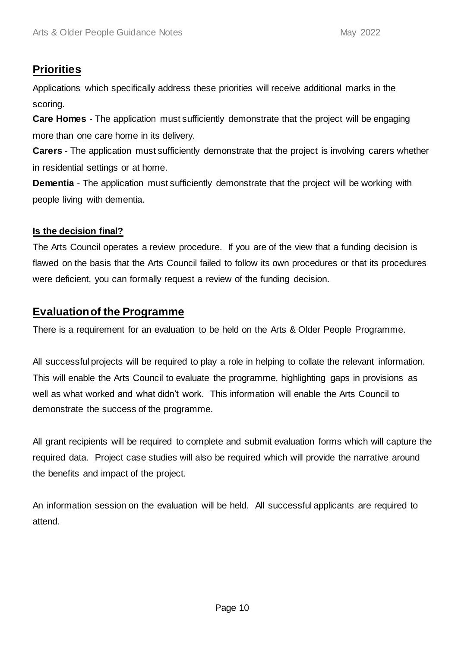# **Priorities**

Applications which specifically address these priorities will receive additional marks in the scoring.

**Care Homes** - The application must sufficiently demonstrate that the project will be engaging more than one care home in its delivery.

**Carers** - The application must sufficiently demonstrate that the project is involving carers whether in residential settings or at home.

**Dementia** - The application must sufficiently demonstrate that the project will be working with people living with dementia.

## **Is the decision final?**

The Arts Council operates a review procedure. If you are of the view that a funding decision is flawed on the basis that the Arts Council failed to follow its own procedures or that its procedures were deficient, you can formally request a review of the funding decision.

## **Evaluation of the Programme**

There is a requirement for an evaluation to be held on the Arts & Older People Programme.

All successful projects will be required to play a role in helping to collate the relevant information. This will enable the Arts Council to evaluate the programme, highlighting gaps in provisions as well as what worked and what didn't work. This information will enable the Arts Council to demonstrate the success of the programme.

All grant recipients will be required to complete and submit evaluation forms which will capture the required data. Project case studies will also be required which will provide the narrative around the benefits and impact of the project.

An information session on the evaluation will be held. All successful applicants are required to attend.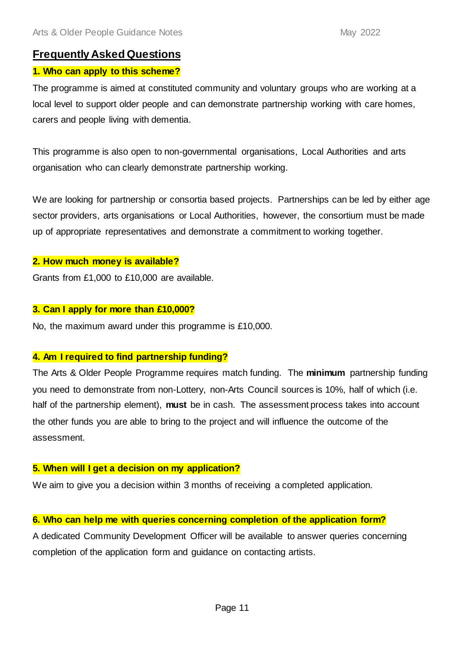## **Frequently Asked Questions**

### **1. Who can apply to this scheme?**

The programme is aimed at constituted community and voluntary groups who are working at a local level to support older people and can demonstrate partnership working with care homes, carers and people living with dementia.

This programme is also open to non-governmental organisations, Local Authorities and arts organisation who can clearly demonstrate partnership working.

We are looking for partnership or consortia based projects. Partnerships can be led by either age sector providers, arts organisations or Local Authorities, however, the consortium must be made up of appropriate representatives and demonstrate a commitment to working together.

#### **2. How much money is available?**

Grants from £1,000 to £10,000 are available.

#### **3. Can I apply for more than £10,000?**

No, the maximum award under this programme is £10,000.

#### **4. Am I required to find partnership funding?**

The Arts & Older People Programme requires match funding. The **minimum** partnership funding you need to demonstrate from non-Lottery, non-Arts Council sources is 10%, half of which (i.e. half of the partnership element), **must** be in cash. The assessment process takes into account the other funds you are able to bring to the project and will influence the outcome of the assessment.

#### **5. When will I get a decision on my application?**

We aim to give you a decision within 3 months of receiving a completed application.

#### **6. Who can help me with queries concerning completion of the application form?**

A dedicated Community Development Officer will be available to answer queries concerning completion of the application form and guidance on contacting artists.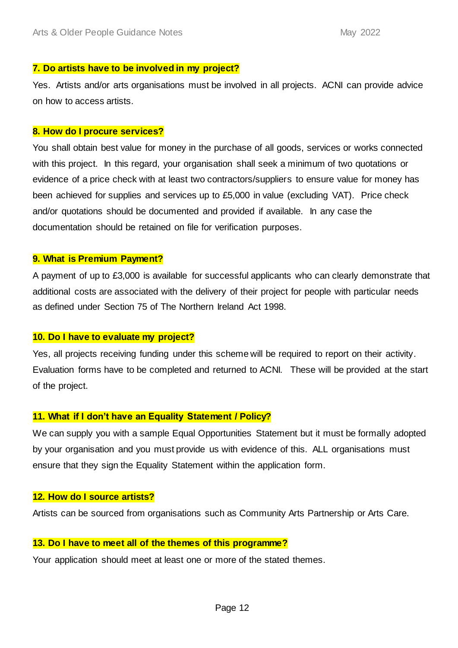#### **7. Do artists have to be involved in my project?**

Yes. Artists and/or arts organisations must be involved in all projects. ACNI can provide advice on how to access artists.

#### **8. How do I procure services?**

You shall obtain best value for money in the purchase of all goods, services or works connected with this project. In this regard, your organisation shall seek a minimum of two quotations or evidence of a price check with at least two contractors/suppliers to ensure value for money has been achieved for supplies and services up to £5,000 in value (excluding VAT). Price check and/or quotations should be documented and provided if available. In any case the documentation should be retained on file for verification purposes.

### **9. What is Premium Payment?**

A payment of up to £3,000 is available for successful applicants who can clearly demonstrate that additional costs are associated with the delivery of their project for people with particular needs as defined under Section 75 of The Northern Ireland Act 1998.

#### **10. Do I have to evaluate my project?**

Yes, all projects receiving funding under this scheme will be required to report on their activity. Evaluation forms have to be completed and returned to ACNI. These will be provided at the start of the project.

#### **11. What if I don't have an Equality Statement / Policy?**

We can supply you with a sample Equal Opportunities Statement but it must be formally adopted by your organisation and you must provide us with evidence of this. ALL organisations must ensure that they sign the Equality Statement within the application form.

#### **12. How do I source artists?**

Artists can be sourced from organisations such as Community Arts Partnership or Arts Care.

#### **13. Do I have to meet all of the themes of this programme?**

Your application should meet at least one or more of the stated themes.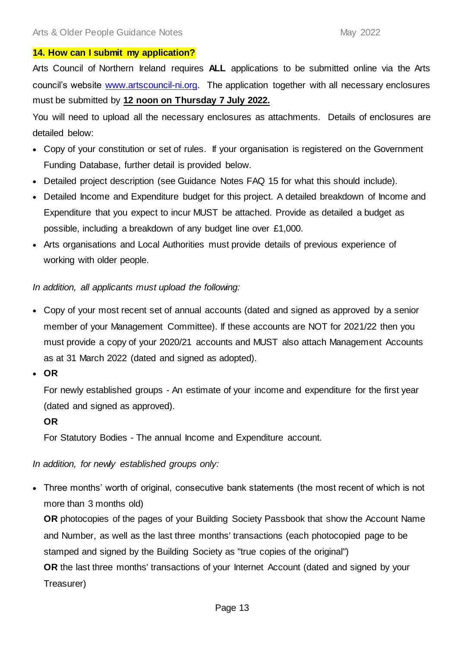#### **14. How can I submit my application?**

Arts Council of Northern Ireland requires **ALL** applications to be submitted online via the Arts council's website [www.artscouncil-ni.org.](http://www.artscouncil-ni.org/) The application together with all necessary enclosures must be submitted by **12 noon on Thursday 7 July 2022.**

You will need to upload all the necessary enclosures as attachments. Details of enclosures are detailed below:

- Copy of your constitution or set of rules. If your organisation is registered on the Government Funding Database, further detail is provided below.
- Detailed project description (see Guidance Notes FAQ 15 for what this should include).
- Detailed Income and Expenditure budget for this project. A detailed breakdown of Income and Expenditure that you expect to incur MUST be attached. Provide as detailed a budget as possible, including a breakdown of any budget line over £1,000.
- Arts organisations and Local Authorities must provide details of previous experience of working with older people.

#### *In addition, all applicants must upload the following:*

- Copy of your most recent set of annual accounts (dated and signed as approved by a senior member of your Management Committee). If these accounts are NOT for 2021/22 then you must provide a copy of your 2020/21 accounts and MUST also attach Management Accounts as at 31 March 2022 (dated and signed as adopted).
- **OR**

For newly established groups - An estimate of your income and expenditure for the first year (dated and signed as approved).

#### **OR**

For Statutory Bodies - The annual Income and Expenditure account.

*In addition, for newly established groups only:* 

 Three months' worth of original, consecutive bank statements (the most recent of which is not more than 3 months old)

**OR** photocopies of the pages of your Building Society Passbook that show the Account Name and Number, as well as the last three months' transactions (each photocopied page to be stamped and signed by the Building Society as "true copies of the original") **OR** the last three months' transactions of your Internet Account (dated and signed by your

Treasurer)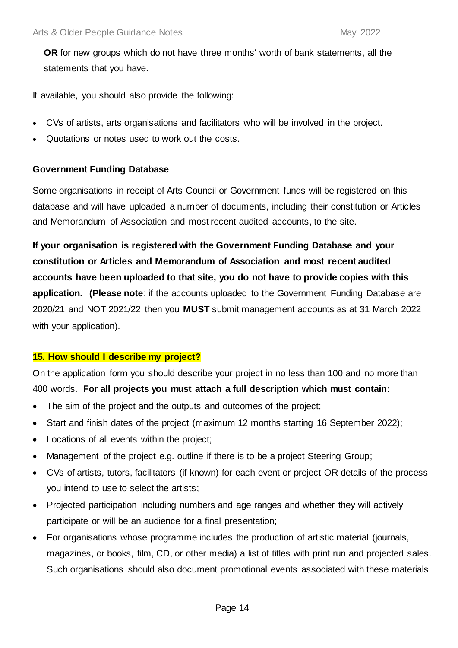**OR** for new groups which do not have three months' worth of bank statements, all the statements that you have.

If available, you should also provide the following:

- CVs of artists, arts organisations and facilitators who will be involved in the project.
- Quotations or notes used to work out the costs.

### **Government Funding Database**

Some organisations in receipt of Arts Council or Government funds will be registered on this database and will have uploaded a number of documents, including their constitution or Articles and Memorandum of Association and most recent audited accounts, to the site.

**If your organisation is registered with the Government Funding Database and your constitution or Articles and Memorandum of Association and most recent audited accounts have been uploaded to that site, you do not have to provide copies with this application. (Please note**: if the accounts uploaded to the Government Funding Database are 2020/21 and NOT 2021/22 then you **MUST** submit management accounts as at 31 March 2022 with your application).

## **15. How should I describe my project?**

On the application form you should describe your project in no less than 100 and no more than 400 words. **For all projects you must attach a full description which must contain:**

- The aim of the project and the outputs and outcomes of the project;
- Start and finish dates of the project (maximum 12 months starting 16 September 2022);
- Locations of all events within the project;
- Management of the project e.g. outline if there is to be a project Steering Group;
- CVs of artists, tutors, facilitators (if known) for each event or project OR details of the process you intend to use to select the artists;
- Projected participation including numbers and age ranges and whether they will actively participate or will be an audience for a final presentation;
- For organisations whose programme includes the production of artistic material (journals, magazines, or books, film, CD, or other media) a list of titles with print run and projected sales. Such organisations should also document promotional events associated with these materials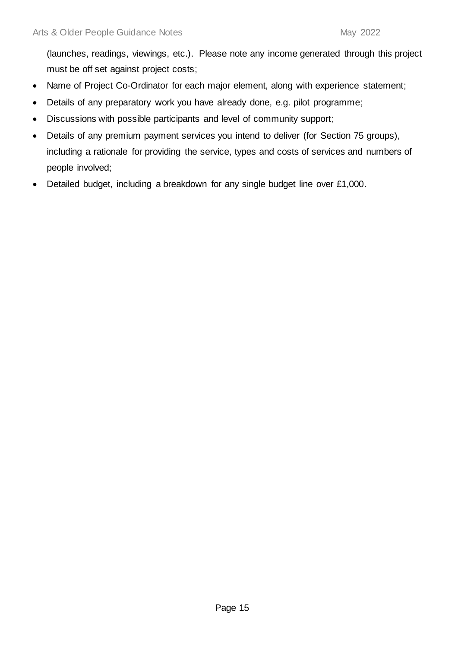(launches, readings, viewings, etc.). Please note any income generated through this project must be off set against project costs;

- Name of Project Co-Ordinator for each major element, along with experience statement;
- Details of any preparatory work you have already done, e.g. pilot programme;
- Discussions with possible participants and level of community support;
- Details of any premium payment services you intend to deliver (for Section 75 groups), including a rationale for providing the service, types and costs of services and numbers of people involved;
- Detailed budget, including a breakdown for any single budget line over £1,000.